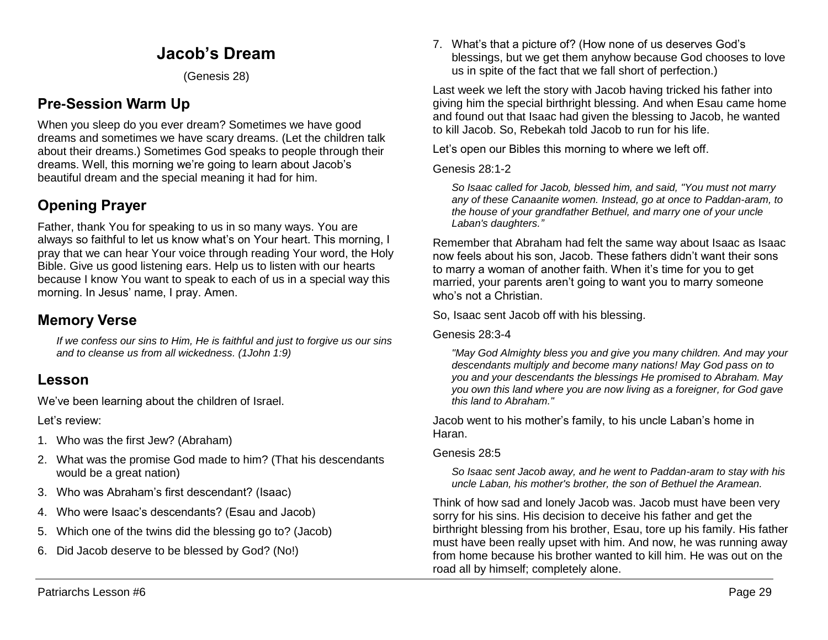# **Jacob's Dream**

(Genesis 28)

# **Pre-Session Warm Up**

When you sleep do you ever dream? Sometimes we have good dreams and sometimes we have scary dreams. (Let the children talk about their dreams.) Sometimes God speaks to people through their dreams. Well, this morning we're going to learn about Jacob's beautiful dream and the special meaning it had for him.

# **Opening Prayer**

Father, thank You for speaking to us in so many ways. You are always so faithful to let us know what's on Your heart. This morning, I pray that we can hear Your voice through reading Your word, the Holy Bible. Give us good listening ears. Help us to listen with our hearts because I know You want to speak to each of us in a special way this morning. In Jesus' name, I pray. Amen.

### **Memory Verse**

*If we confess our sins to Him, He is faithful and just to forgive us our sins and to cleanse us from all wickedness. (1John 1:9)*

### **Lesson**

We've been learning about the children of Israel.

Let's review:

- 1. Who was the first Jew? (Abraham)
- 2. What was the promise God made to him? (That his descendants would be a great nation)
- 3. Who was Abraham's first descendant? (Isaac)
- 4. Who were Isaac's descendants? (Esau and Jacob)
- 5. Which one of the twins did the blessing go to? (Jacob)
- 6. Did Jacob deserve to be blessed by God? (No!)

7. What's that a picture of? (How none of us deserves God's blessings, but we get them anyhow because God chooses to love us in spite of the fact that we fall short of perfection.)

Last week we left the story with Jacob having tricked his father into giving him the special birthright blessing. And when Esau came home and found out that Isaac had given the blessing to Jacob, he wanted to kill Jacob. So, Rebekah told Jacob to run for his life.

Let's open our Bibles this morning to where we left off.

Genesis 28:1-2

*So Isaac called for Jacob, blessed him, and said, "You must not marry any of these Canaanite women. Instead, go at once to Paddan-aram, to the house of your grandfather Bethuel, and marry one of your uncle Laban's daughters."*

Remember that Abraham had felt the same way about Isaac as Isaac now feels about his son, Jacob. These fathers didn't want their sons to marry a woman of another faith. When it's time for you to get married, your parents aren't going to want you to marry someone who's not a Christian

So, Isaac sent Jacob off with his blessing.

Genesis 28:3-4

*"May God Almighty bless you and give you many children. And may your descendants multiply and become many nations! May God pass on to you and your descendants the blessings He promised to Abraham. May you own this land where you are now living as a foreigner, for God gave this land to Abraham."* 

Jacob went to his mother's family, to his uncle Laban's home in Haran.

### Genesis 28:5

*So Isaac sent Jacob away, and he went to Paddan-aram to stay with his uncle Laban, his mother's brother, the son of Bethuel the Aramean.*

Think of how sad and lonely Jacob was. Jacob must have been very sorry for his sins. His decision to deceive his father and get the birthright blessing from his brother, Esau, tore up his family. His father must have been really upset with him. And now, he was running away from home because his brother wanted to kill him. He was out on the road all by himself; completely alone.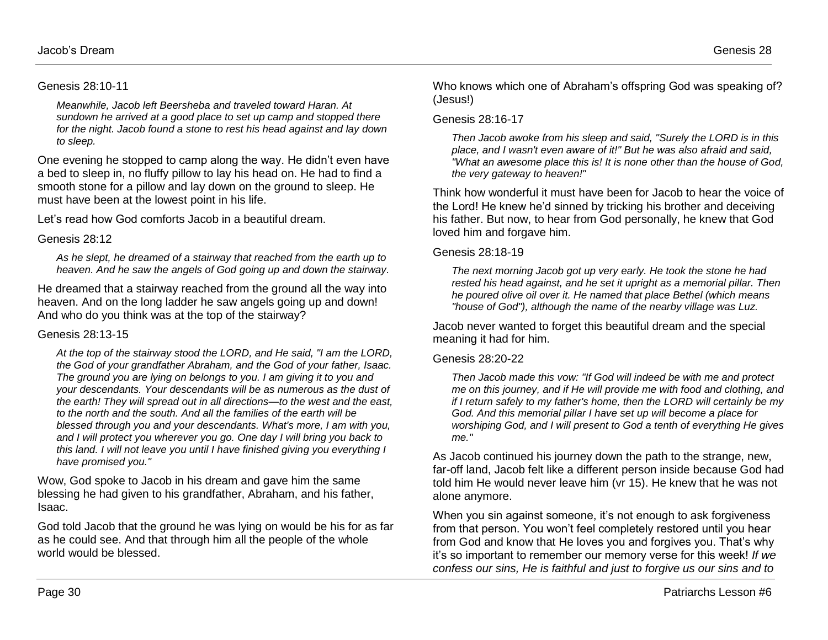#### Genesis 28:10-11

*Meanwhile, Jacob left Beersheba and traveled toward Haran. At sundown he arrived at a good place to set up camp and stopped there for the night. Jacob found a stone to rest his head against and lay down to sleep.*

One evening he stopped to camp along the way. He didn't even have a bed to sleep in, no fluffy pillow to lay his head on. He had to find a smooth stone for a pillow and lay down on the ground to sleep. He must have been at the lowest point in his life.

Let's read how God comforts Jacob in a beautiful dream.

#### Genesis 28:12

*As he slept, he dreamed of a stairway that reached from the earth up to heaven. And he saw the angels of God going up and down the stairway.*

He dreamed that a stairway reached from the ground all the way into heaven. And on the long ladder he saw angels going up and down! And who do you think was at the top of the stairway?

#### Genesis 28:13-15

*At the top of the stairway stood the LORD, and He said, "I am the LORD, the God of your grandfather Abraham, and the God of your father, Isaac. The ground you are lying on belongs to you. I am giving it to you and your descendants. Your descendants will be as numerous as the dust of the earth! They will spread out in all directions—to the west and the east, to the north and the south. And all the families of the earth will be blessed through you and your descendants. What's more, I am with you, and I will protect you wherever you go. One day I will bring you back to this land. I will not leave you until I have finished giving you everything I have promised you."* 

Wow, God spoke to Jacob in his dream and gave him the same blessing he had given to his grandfather, Abraham, and his father, Isaac.

God told Jacob that the ground he was lying on would be his for as far as he could see. And that through him all the people of the whole world would be blessed.

Who knows which one of Abraham's offspring God was speaking of? (Jesus!)

#### Genesis 28:16-17

*Then Jacob awoke from his sleep and said, "Surely the LORD is in this place, and I wasn't even aware of it!" But he was also afraid and said, "What an awesome place this is! It is none other than the house of God, the very gateway to heaven!"*

Think how wonderful it must have been for Jacob to hear the voice of the Lord! He knew he'd sinned by tricking his brother and deceiving his father. But now, to hear from God personally, he knew that God loved him and forgave him.

#### Genesis 28:18-19

*The next morning Jacob got up very early. He took the stone he had rested his head against, and he set it upright as a memorial pillar. Then he poured olive oil over it. He named that place Bethel (which means "house of God"), although the name of the nearby village was Luz.* 

Jacob never wanted to forget this beautiful dream and the special meaning it had for him.

#### Genesis 28:20-22

*Then Jacob made this vow: "If God will indeed be with me and protect me on this journey, and if He will provide me with food and clothing, and if I return safely to my father's home, then the LORD will certainly be my God. And this memorial pillar I have set up will become a place for worshiping God, and I will present to God a tenth of everything He gives me."*

As Jacob continued his journey down the path to the strange, new, far-off land, Jacob felt like a different person inside because God had told him He would never leave him (vr 15). He knew that he was not alone anymore.

When you sin against someone, it's not enough to ask forgiveness from that person. You won't feel completely restored until you hear from God and know that He loves you and forgives you. That's why it's so important to remember our memory verse for this week! *If we confess our sins, He is faithful and just to forgive us our sins and to*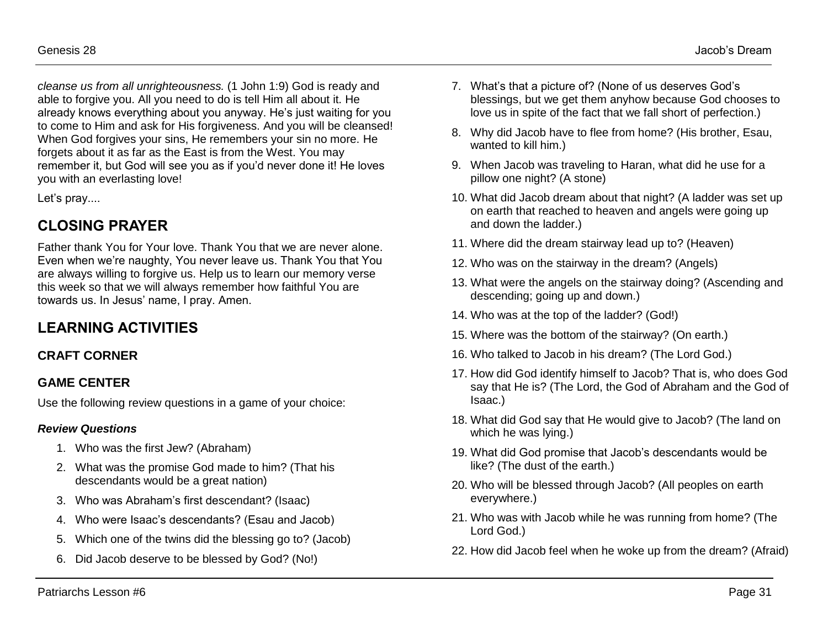*cleanse us from all unrighteousness.* (1 John 1:9) God is ready and able to forgive you. All you need to do is tell Him all about it. He already knows everything about you anyway. He's just waiting for you to come to Him and ask for His forgiveness. And you will be cleansed! When God forgives your sins, He remembers your sin no more. He forgets about it as far as the East is from the West. You may remember it, but God will see you as if you'd never done it! He loves you with an everlasting love!

Let's pray....

## **CLOSING PRAYER**

Father thank You for Your love. Thank You that we are never alone. Even when we're naughty, You never leave us. Thank You that You are always willing to forgive us. Help us to learn our memory verse this week so that we will always remember how faithful You are towards us. In Jesus' name, I pray. Amen.

## **LEARNING ACTIVITIES**

### **CRAFT CORNER**

### **GAME CENTER**

Use the following review questions in a game of your choice:

#### *Review Questions*

- 1. Who was the first Jew? (Abraham)
- 2. What was the promise God made to him? (That his descendants would be a great nation)
- 3. Who was Abraham's first descendant? (Isaac)
- 4. Who were Isaac's descendants? (Esau and Jacob)
- 5. Which one of the twins did the blessing go to? (Jacob)
- 6. Did Jacob deserve to be blessed by God? (No!)
- 7. What's that a picture of? (None of us deserves God's blessings, but we get them anyhow because God chooses to love us in spite of the fact that we fall short of perfection.)
- 8. Why did Jacob have to flee from home? (His brother, Esau, wanted to kill him.)
- 9. When Jacob was traveling to Haran, what did he use for a pillow one night? (A stone)
- 10. What did Jacob dream about that night? (A ladder was set up on earth that reached to heaven and angels were going up and down the ladder.)
- 11. Where did the dream stairway lead up to? (Heaven)
- 12. Who was on the stairway in the dream? (Angels)
- 13. What were the angels on the stairway doing? (Ascending and descending; going up and down.)
- 14. Who was at the top of the ladder? (God!)
- 15. Where was the bottom of the stairway? (On earth.)
- 16. Who talked to Jacob in his dream? (The Lord God.)
- 17. How did God identify himself to Jacob? That is, who does God say that He is? (The Lord, the God of Abraham and the God of Isaac.)
- 18. What did God say that He would give to Jacob? (The land on which he was lying.)
- 19. What did God promise that Jacob's descendants would be like? (The dust of the earth.)
- 20. Who will be blessed through Jacob? (All peoples on earth everywhere.)
- 21. Who was with Jacob while he was running from home? (The Lord God.)
- 22. How did Jacob feel when he woke up from the dream? (Afraid)